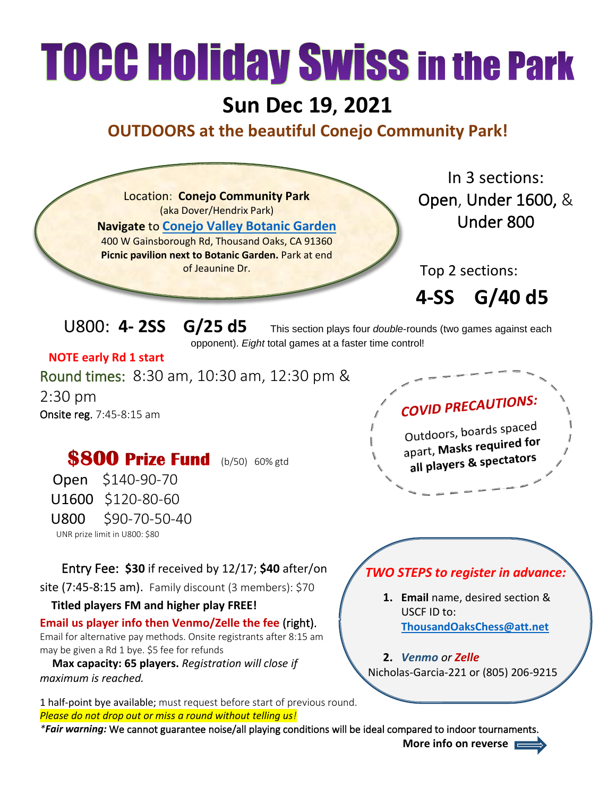## **TOCC Holiday Swiss in the Park**

## **Sun Dec 19, 2021**

## **OUTDOORS at the beautiful Conejo Community Park!**



may be given a Rd 1 bye. \$5 fee for refunds

 **Max capacity: 65 players.** *Registration will close if maximum is reached.*

1 half-point bye available; must request before start of previous round. *Please do not drop out or miss a round without telling us!*

*\*Fair warning:* We cannot guarantee noise/all playing conditions will be ideal compared to indoor tournaments.

**2.** *Venmo or Zelle* Nicholas-Garcia-221 or (805) 206-9215

**More info on reverse**